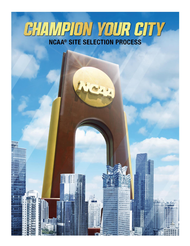# CHAMPION YOUR CITY

iliji<br>UGN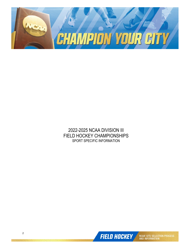

2022-2025 NCAA DIVISION III FIELD HOCKEY CHAMPIONSHIPS SPORT SPECIFIC INFORMATION

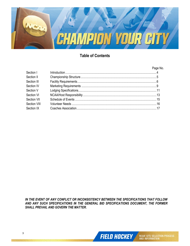

# **Table of Contents**

#### Page No.

| Section I    |  |
|--------------|--|
| Section II   |  |
| Section III  |  |
| Section IV   |  |
| Section V    |  |
| Section VI   |  |
| Section VII  |  |
| Section VIII |  |
| Section IX   |  |
|              |  |

*IN THE EVENT OF ANY CONFLICT OR INCONSISTENCY BETWEEN THE SPECIFICATIONS THAT FOLLOW AND ANY SUCH SPECIFICATIONS IN THE GENERAL BID SPECIFICATIONS DOCUMENT, THE FORMER SHALL PREVAIL AND GOVERN THE MATTER.*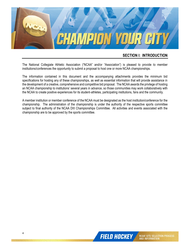

#### **SECTION I: INTRODUCTION**

The National Collegiate Athletic Association ("NCAA" and/or "Association") is pleased to provide to member institutions/conferences the opportunity to submit a proposal to host one or more NCAA championships.

The information contained in this document and the accompanying attachments provides the minimum bid specifications for hosting any of these championships, as well as essential information that will provide assistance in the development of a creative, comprehensive and competitive bid proposal. The NCAA awards the privilege of hosting an NCAA championship to institutions' several years in advance, so those communities may work collaboratively with the NCAA to create positive experiences for its student-athletes, participating institutions, fans and the community.

A member institution or member conference of the NCAA must be designated as the host institution/conference for the championship. The administration of the championship is under the authority of the respective sports committee subject to final authority of the NCAA DIII Championships Committee. All activities and events associated with the championship are to be approved by the sports committee.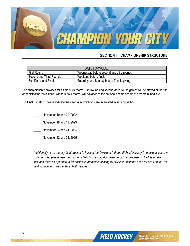

# **SECTION II: CHAMPIONSHIP STRUCTURE**

| <b>DATE FORMULAS</b>    |                                          |  |  |  |
|-------------------------|------------------------------------------|--|--|--|
| First Round             | Wednesday before second and third rounds |  |  |  |
| Second and Third Rounds | Weekend before finals                    |  |  |  |
| Semifinals and Finals   | Saturday and Sunday before Thanksgiving  |  |  |  |

The championship provides for a field of 24 teams. First-round and second-/third-round games will be played at the site of participating institutions. Winners (four teams) will advance to the national championship at predetermined site.

**PLEASE NOTE:** Please indicate the year(s) in which you are interested in serving as host:

- \_\_\_\_\_ November 19 and 20, 2022
- \_\_\_\_\_ November 18 and 19, 2023
- \_\_\_\_\_ November 23 and 24, 2024
- \_\_\_\_\_ November 22 and 23, 2025

*Additionally, if an agency is interested in hosting the Divisions I, II and III Field Hockey Championships at a common site, please use the Division I field hockey bid document to bid. A proposed schedule of events is included there as Appendix A for entities interested in hosting all divisions. With the need for two venues, the field surface must be similar at both venues.*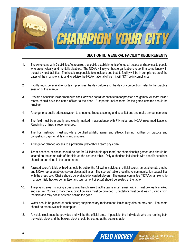

# **SECTION III: GENERAL FACILITY REQUIREMENTS**

- 1. The Americans with Disabilities Act requires that public establishments offer equal access and services to people who are physically and mentally disabled. The NCAA will rely on host organizations to confirm compliance with the act by host facilities. The host is responsible to check and see that its facility will be in compliance as of the dates of the championship and to advise the NCAA national office if it will NOT be in compliance.
- 2. Facility must be available for team practices the day before and the day of competition (refer to the practice session of this manual).
- 3. Provide a spacious locker room with chalk or white board for each team for practice and games. All team locker rooms should have the name affixed to the door. A separate locker room for the game umpires should be provided.
- 4. Arrange for a public address system to announce lineups, scoring and substitutions and make announcements.
- 5. The field must be properly and clearly marked in accordance with FIH rules and NCAA rules modifications. Repainting of lines is recommended.
- 6. The host institution must provide a certified athletic trainer and athletic training facilities on practice and competition days for all teams and umpires.
- 7. Arrange for planned access to a physician, preferably a team physician.
- 8. Team benches or chairs should be set for 34 individuals (per team) for championship games and should be located on the same side of the field as the scorer's table. Only authorized individuals with specific functions should be permitted in the bench area.
- 9. A raised scorer's table with skirt should be set for the following individuals: official scorer, timer, alternate umpire and NCAA representatives (seven places at finals). The scorers' table should have communication capabilities with the press box. Chairs should be available for carded players. The games committee (NCAA championship manager, field hockey committee, and tournament director) should be seated at the table.
- 10. The playing area, including a designated bench area that the teams must remain within, must be clearly marked and secure. Cones to mark the substitution area must be provided. Spectators must be at least 10 yards from the field and may not sit or stand behind the goals.
- 11. Water should be placed at each bench; supplementary replacement liquids may also be provided. The same should be made available to umpires.
- 12. A visible clock must be provided and will be the official time. If possible, the individuals who are running both the visible clock and the backup clock should be seated at the scorer's table.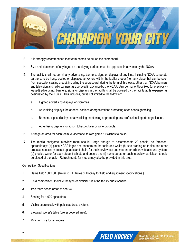

- 13. It is strongly recommended that team names be put on the scoreboard.
- 14. Size and placement of any logos on the playing surface must be approved in advance by the NCAA.
- 15. The facility shall not permit any advertising, banners, signs or displays of any kind, including NCAA corporate partners, to be hung, posted or displayed anywhere within the facility proper (i.e., any place that can be seen from spectator seating areas), including the scoreboard, during the term of this lease, other than NCAA banners and television and radio banners as approved in advance by the NCAA. Any permanently-affixed (or previouslyleased) advertising, banners, signs or displays in the facility shall be covered by the facility at its expense, as designated by the NCAA. This includes, but is not limited to the following:
	- a. Lighted advertising displays or dioramas.
	- b. Advertising displays for lotteries, casinos or organizations promoting open sports gambling.
	- c. Banners, signs, displays or advertising mentioning or promoting any professional sports organization.
	- d. Advertising displays for liquor, tobacco, beer or wine products.
- 16. Arrange an area for each team to videotape its own game if it wishes to do so.
- 17. The media postgame interview room should large enough to accommodate 20 people, be "dressed" appropriately: (a) place NCAA logos and banners on the table and walls; (b) use draping on tables and other areas as necessary; (c) set up table and chairs for the interviewees and moderator; (d) provide a sound system; (e) provide water for each student-athlete and coach; and (f) name cards for each interview participant should be placed at the table. Refreshments for media may also be provided in this area.

#### Competition Specifications

- 1. Game field 100 x 60. (Refer to FIH Rules of Hockey for field and equipment specifications.)
- 2. Field composition. Indicate the type of artificial turf in the facility questionnaire.
- 3. Two team bench areas to seat 34.
- 4. Seating for 1,000 spectators.
- 5. Visible score clock with public address system.
- 6. Elevated scorer's table (prefer covered area).
- 7. Minimum five locker rooms.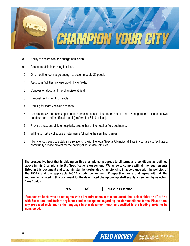

- 8. Ability to secure site and charge admission.
- 9. Adequate athletic training facilities.
- 10. One meeting room large enough to accommodate 20 people.
- 11. Restroom facilities in close proximity to fields.
- 12. Concession (food and merchandise) at field.
- 13. Banquet facility for 175 people.
- 14. Parking for team vehicles and fans.
- 15. Access to 68 non-smoking double rooms at one to four team hotels and 16 king rooms at one to two headquarters and/or officials hotel (preferred at \$119 or less).
- 16. Provide a student-athlete hospitality area either at the hotel or field postgame.
- 17. Willing to host a collegiate all-star game following the semifinal games.
- 18. Highly encouraged to establish a relationship with the local Special Olympics affiliate in your area to facilitate a community service project for the participating student-athletes.

**The prospective host that is bidding on this championship agrees to all terms and conditions as outlined above in this Championship Bid Specifications Agreement. We agree to comply with all the requirements listed in this document and to administer the designated championship in accordance with the policies of the NCAA and the applicable NCAA sports committee. Prospective hosts that agree with all the requirements listed in this document for the designated championship shall signify agreement by selecting "Yes" below.**

 **YES NO NO with Exception**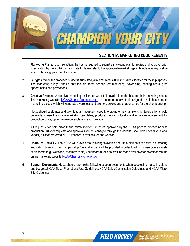

#### **SECTION IV: MARKETING REQUIREMENTS**

- 1. **Marketing Plans.** Upon selection, the host is required to submit a marketing plan for review and approval prior to activation by the NCAA marketing staff. Please refer to the appropriate marketing plan template as a guideline when submitting your plan for review.
- 2. **Budgets.** When the proposed budget is submitted, a minimum of \$4,000 should be allocated for these purposes. The marketing budget should only include items needed for: marketing, advertising, printing costs, gras opportunities and promotions.
- 3. **Creative Process.** A creative marketing assistance website is available to the host for their marketing needs. This marketing website, [NCAAChampsPromotion.com,](http://ncaachampspromotion.com/) is a comprehensive tool designed to help hosts create marketing pieces which will generate awareness and promote tickets and or attendance for the championship.

Hosts should customize and download all necessary artwork to promote the championship. Every effort should be made to use the online marketing templates, produce the items locally and obtain reimbursement for production costs, up to the reimbursable allocation provided.

All requests, for both artwork and reimbursement, must be approved by the NCAA prior to proceeding with production. Artwork requests and approvals will be managed through the website. Should you not have a local vendor, a list of preferred NCAA vendors is available on the website.

- 4. **Radio/TV.** Radio/TV. The NCAA will provide the following television and radio elements to assist in promoting and selling tickets to the championship. Several formats will be provided in order to allow for use over a variety of platforms (e.g., websites, tv commercials, videoboards). All spots will be made available for download via the online marketing website [NCAAChampsPromotion.com](http://ncaachampspromotion.com/)
- 5. **Support Documents.** Hosts should refer to the following support documents when developing marketing plans and budgets: NCAA Ticket Promotional Use Guidelines, NCAA Sales Commission Guidelines, and NCAA Micro-Site Guidelines.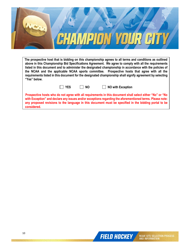

**The prospective host that is bidding on this championship agrees to all terms and conditions as outlined above in this Championship Bid Specifications Agreement. We agree to comply with all the requirements listed in this document and to administer the designated championship in accordance with the policies of the NCAA and the applicable NCAA sports committee. Prospective hosts that agree with all the requirements listed in this document for the designated championship shall signify agreement by selecting "Yes" below.**

| × |
|---|
|---|

**NO With Exception** 

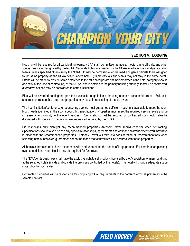

# **SECTION V: LODGING**

Housing will be required for all participating teams, NCAA staff, committee members, media, game officials, and other special guests as designated by the NCAA. Separate hotels are needed for the NCAA, media, officials and participating teams unless specified otherwise by the NCAA. It may be permissible for the media or game officials to be assigned to the same property as the NCAA headquarters hotel. (Game officials and teams may not stay in the same hotel.) Efforts will be made to provide some deference to the official corporate champion/partner in the hotel category (should one exist at the time of contracting) of the NCAA. While hotels are the primary housing offerings that will be contracted, alternative options may be considered in certain situations.

Bids will be awarded contingent upon the successful negotiation of housing needs at reasonable rates. Failure to secure such reasonable rates and properties may result in rescinding of the bid award.

The host institution/conference or sponsoring agency must guarantee sufficient housing is available to meet the room block needs identified in the sport specific bid specification. Properties must meet the required service levels and be in reasonable proximity to the event venues. Rooms should **not** be secured or contracted nor should rates be discussed with specific properties, unless requested to do so by the NCAA.

Bid responses may highlight any recommended properties Anthony Travel should consider when contracting. Specifications should also disclose any special relationships, agreements and/or financial arrangements you may have in place with the recommended properties. Anthony Travel will take into consideration all recommendations when selecting hotels; however, guarantees cannot be made that contracts will be secured with these properties.

All hotels contracted must have experience with and understand the needs of large groups. For certain championship events, additional room blocks may be required for fan travel.

The NCAA or its designees shall have the exclusive right to sell products licensed by the Association for merchandising at the selected hotels (inside and outside the premises controlled by the hotels). The hotel will provide adequate space in its lobby for such sales.

Contracted properties will be responsible for complying will all requirements in the contract terms as presented in the sample contract.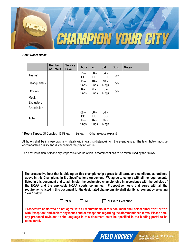

*Hotel Room Block*

|                     | <b>Number</b><br>of Hotels | <b>Service</b><br>Level | <b>Thurs</b> | Fri.         | Sat.         | Sun. | <b>Notes</b> |
|---------------------|----------------------------|-------------------------|--------------|--------------|--------------|------|--------------|
| Teams <sup>1</sup>  |                            |                         | $68 -$       | $68 -$       | $34 -$       | c/o  |              |
|                     |                            |                         | DD           | DD           | DD           |      |              |
| <b>Headquarters</b> |                            |                         | $10 -$       | $10 -$       | $10 -$       | c/o  |              |
|                     |                            |                         | Kings        | <b>Kings</b> | Kings        |      |              |
| <b>Officials</b>    |                            |                         | $6-$         | $6-$         | $6-$         | c/o  |              |
|                     |                            |                         | <b>Kings</b> | Kings        | <b>Kings</b> |      |              |
| Media               |                            |                         |              |              |              |      |              |
| Evaluators          |                            |                         |              |              |              |      |              |
| Association         |                            |                         |              |              |              |      |              |
|                     |                            |                         | $68 -$       | $68 -$       | $34 -$       |      |              |
| <b>Total</b>        |                            |                         | <b>DD</b>    | <b>DD</b>    | <b>DD</b>    |      |              |
|                     |                            |                         | $16 -$       | $16 -$       | $16 -$       |      |              |
|                     |                            |                         | Kings        | Kings        | Kings        |      |              |

<sup>1</sup> **Room Types:** 68 Doubles, 16 Kings, Suites, Other (please explain)

All hotels shall be in close proximity (ideally within walking distance) from the event venue. The team hotels must be of comparable quality and distance from the playing venue.

The host institution is financially responsible for the official accommodations to be reimbursed by the NCAA.

**The prospective host that is bidding on this championship agrees to all terms and conditions as outlined above in this Championship Bid Specifications Agreement. We agree to comply with all the requirements listed in this document and to administer the designated championship in accordance with the policies of the NCAA and the applicable NCAA sports committee. Prospective hosts that agree with all the requirements listed in this document for the designated championship shall signify agreement by selecting "Yes" below.**

|  | × |
|--|---|
|--|---|

**T** YES **NO NO NO** with Exception

**FIELD HOCKEY** 

**NCAA<sup>\*</sup> SITE SELECTION PROCESS**<br>AND INFORMATION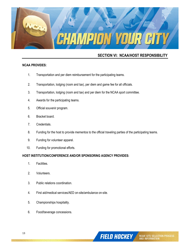

# **SECTION VI: NCAA/HOST RESPONSIBILITY**

#### **NCAA PROVIDES:**

- 1. Transportation and per diem reimbursement for the participating teams.
- 2. Transportation, lodging (room and tax), per diem and game fee for all officials.
- 3. Transportation, lodging (room and tax) and per diem for the NCAA sport committee.
- 4. Awards for the participating teams.
- 5. Official souvenir program.
- 6. Bracket board.
- 7. Credentials.
- 8. Funding for the host to provide mementos to the official traveling parties of the participating teams.
- 9. Funding for volunteer apparel.
- 10. Funding for promotional efforts.

#### **HOST INSTITUTION/CONFERENCE AND/OR SPONSORING AGENCY PROVIDES:**

- 1. Facilities.
- 2. Volunteers.
- 3. Public relations coordination.
- 4. First aid/medical services/AED on-site/ambulance on-site.
- 5. Championships hospitality.
- 6. Food/beverage concessions.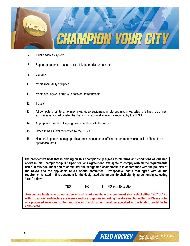

- 7. Public address system.
- 8. Support personnel ushers, ticket takers, media runners, etc.
- 9. Security.
- 10. Media room (fully equipped).
- 11. Media seating/work area with constant refreshments.
- 12. Tickets.
- 13. All computers, printers, fax machines, video equipment, photocopy machines, telephone lines, DSL lines, etc. necessary to administer the championships, and as may be required by the NCAA.
- 14. Appropriate directional signage within and outside the venue.
- 15. Other items as later requested by the NCAA.
- 16. Head table personnel (e.g., public address announcers, official scorer, matchmaker, chief of head table operations, etc.)

**The prospective host that is bidding on this championship agrees to all terms and conditions as outlined above in this Championship Bid Specifications Agreement. We agree to comply with all the requirements listed in this document and to administer the designated championship in accordance with the policies of the NCAA and the applicable NCAA sports committee. Prospective hosts that agree with all the requirements listed in this document for the designated championship shall signify agreement by selecting "Yes" below.**

**T** YES **NO NO NO** with Exception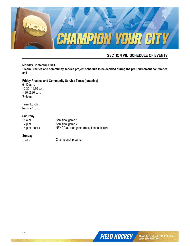

# **SECTION VII: SCHEDULE OF EVENTS**

#### **Monday Conference Call**

**\*Team Practice and community service project schedule to be decided during the pre-tournament conference call**

#### **Friday Practice and Community Service Times (tentative)**

9–10 a.m. 10:30–11:30 a.m. 1:30–2:30 p.m. 3–4p.m.

Team Lunch Noon  $-1$  p.m.

#### **Saturday**

| 11 a.m.          | Semifinal game 1                          |
|------------------|-------------------------------------------|
| 2 p.m.           | Semifinal game 2                          |
| $4$ p.m. (tent.) | NFHCA all-star game (reception to follow) |

# **Sunday**

Championship game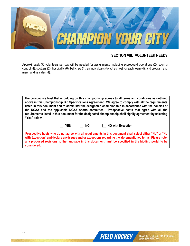

# **SECTION VIII: VOLUNTEER NEEDS**

Approximately 30 volunteers per day will be needed for assignments, including scoreboard operations (2), scoring control (4), spotters (2), hospitality (6), ball crew (4), an individual(s) to act as host for each team (4), and program and merchandise sales (4).

| The prospective host that is bidding on this championship agrees to all terms and conditions as outlined                                                                                                  |
|-----------------------------------------------------------------------------------------------------------------------------------------------------------------------------------------------------------|
| above in this Championship Bid Specifications Agreement. We agree to comply with all the requirements                                                                                                     |
| listed in this document and to administer the designated championship in accordance with the policies of                                                                                                  |
| the NCAA and the applicable NCAA sports committee. Prospective hosts that agree with all the<br>requirements listed in this document for the designated championship shall signify agreement by selecting |
| "Yes" below.                                                                                                                                                                                              |

**T** YES NO **NO** NO with Exception